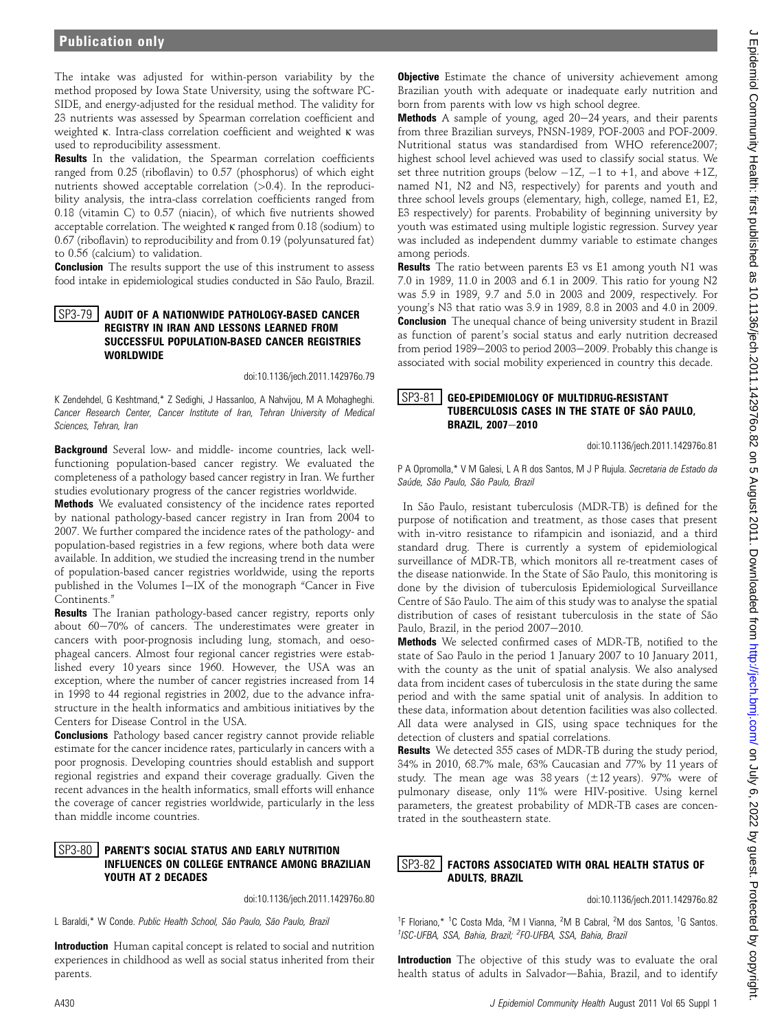# Publication only

The intake was adjusted for within-person variability by the method proposed by Iowa State University, using the software PC-SIDE, and energy-adjusted for the residual method. The validity for 23 nutrients was assessed by Spearman correlation coefficient and weighted k. Intra-class correlation coefficient and weighted k was used to reproducibility assessment.

Results In the validation, the Spearman correlation coefficients ranged from 0.25 (riboflavin) to 0.57 (phosphorus) of which eight nutrients showed acceptable correlation  $(>0.4)$ . In the reproducibility analysis, the intra-class correlation coefficients ranged from 0.18 (vitamin C) to 0.57 (niacin), of which five nutrients showed acceptable correlation. The weighted k ranged from 0.18 (sodium) to 0.67 (riboflavin) to reproducibility and from 0.19 (polyunsatured fat) to 0.56 (calcium) to validation.

**Conclusion** The results support the use of this instrument to assess food intake in epidemiological studies conducted in São Paulo, Brazil.

### SP3-79 | AUDIT OF A NATIONWIDE PATHOLOGY-BASED CANCER REGISTRY IN IRAN AND LESSONS LEARNED FROM SUCCESSFUL POPULATION-BASED CANCER REGISTRIES **WORLDWIDE**

doi:10.1136/jech.2011.142976o.79

K Zendehdel, G Keshtmand,\* Z Sedighi, J Hassanloo, A Nahvijou, M A Mohagheghi. Cancer Research Center, Cancer Institute of Iran, Tehran University of Medical Sciences, Tehran, Iran

Background Several low- and middle- income countries, lack wellfunctioning population-based cancer registry. We evaluated the completeness of a pathology based cancer registry in Iran. We further studies evolutionary progress of the cancer registries worldwide.

Methods We evaluated consistency of the incidence rates reported by national pathology-based cancer registry in Iran from 2004 to 2007. We further compared the incidence rates of the pathology- and population-based registries in a few regions, where both data were available. In addition, we studied the increasing trend in the number of population-based cancer registries worldwide, using the reports published in the Volumes I-IX of the monograph "Cancer in Five Continents."

Results The Iranian pathology-based cancer registry, reports only about  $60-70\%$  of cancers. The underestimates were greater in cancers with poor-prognosis including lung, stomach, and oesophageal cancers. Almost four regional cancer registries were established every 10 years since 1960. However, the USA was an exception, where the number of cancer registries increased from 14 in 1998 to 44 regional registries in 2002, due to the advance infrastructure in the health informatics and ambitious initiatives by the Centers for Disease Control in the USA.

**Conclusions** Pathology based cancer registry cannot provide reliable estimate for the cancer incidence rates, particularly in cancers with a poor prognosis. Developing countries should establish and support regional registries and expand their coverage gradually. Given the recent advances in the health informatics, small efforts will enhance the coverage of cancer registries worldwide, particularly in the less than middle income countries.

# SP3-80 PARENT'S SOCIAL STATUS AND EARLY NUTRITION INFLUENCES ON COLLEGE ENTRANCE AMONG BRAZILIAN YOUTH AT 2 DECADES

doi:10.1136/jech.2011.142976o.80

L Baraldi,\* W Conde. Public Health School, São Paulo, São Paulo, Brazil

Introduction Human capital concept is related to social and nutrition experiences in childhood as well as social status inherited from their parents.

**Objective** Estimate the chance of university achievement among Brazilian youth with adequate or inadequate early nutrition and born from parents with low vs high school degree.

**Methods** A sample of young, aged  $20-24$  years, and their parents from three Brazilian surveys, PNSN-1989, POF-2003 and POF-2009. Nutritional status was standardised from WHO reference2007; highest school level achieved was used to classify social status. We set three nutrition groups (below  $-1Z$ ,  $-1$  to  $+1$ , and above  $+1Z$ , named N1, N2 and N3, respectively) for parents and youth and three school levels groups (elementary, high, college, named E1, E2, E3 respectively) for parents. Probability of beginning university by youth was estimated using multiple logistic regression. Survey year was included as independent dummy variable to estimate changes among periods.

**Results** The ratio between parents E3 vs E1 among youth N1 was 7.0 in 1989, 11.0 in 2003 and 6.1 in 2009. This ratio for young N2 was 5.9 in 1989, 9.7 and 5.0 in 2003 and 2009, respectively. For young's N3 that ratio was 3.9 in 1989, 8.8 in 2003 and 4.0 in 2009. **Conclusion** The unequal chance of being university student in Brazil as function of parent's social status and early nutrition decreased from period 1989 $-2003$  to period 2003 $-2009$ . Probably this change is associated with social mobility experienced in country this decade.

## SP3-81 GEO-EPIDEMIOLOGY OF MULTIDRUG-RESISTANT TUBERCULOSIS CASES IN THE STATE OF SÃO PAULO, BRAZIL, 2007-2010

doi:10.1136/jech.2011.142976o.81

P A Opromolla,\* V M Galesi, L A R dos Santos, M J P Rujula. Secretaria de Estado da Saúde, São Paulo, São Paulo, Brazil

In São Paulo, resistant tuberculosis (MDR-TB) is defined for the purpose of notification and treatment, as those cases that present with in-vitro resistance to rifampicin and isoniazid, and a third standard drug. There is currently a system of epidemiological surveillance of MDR-TB, which monitors all re-treatment cases of the disease nationwide. In the State of São Paulo, this monitoring is done by the division of tuberculosis Epidemiological Surveillance Centre of São Paulo. The aim of this study was to analyse the spatial distribution of cases of resistant tuberculosis in the state of São Paulo, Brazil, in the period 2007-2010.

Methods We selected confirmed cases of MDR-TB, notified to the state of Sao Paulo in the period 1 January 2007 to 10 January 2011, with the county as the unit of spatial analysis. We also analysed data from incident cases of tuberculosis in the state during the same period and with the same spatial unit of analysis. In addition to these data, information about detention facilities was also collected. All data were analysed in GIS, using space techniques for the detection of clusters and spatial correlations.

Results We detected 355 cases of MDR-TB during the study period, 34% in 2010, 68.7% male, 63% Caucasian and 77% by 11 years of study. The mean age was 38 years  $(\pm 12 \text{ years})$ . 97% were of pulmonary disease, only 11% were HIV-positive. Using kernel parameters, the greatest probability of MDR-TB cases are concentrated in the southeastern state.

# SP3-82 FACTORS ASSOCIATED WITH ORAL HEALTH STATUS OF ADULTS, BRAZIL

doi:10.1136/jech.2011.142976o.82

<sup>1</sup>F Floriano,\* <sup>1</sup>C Costa Mda, <sup>2</sup>M I Vianna, <sup>2</sup>M B Cabral, <sup>2</sup>M dos Santos, <sup>1</sup>G Santos. <sup>1</sup>ISC-UFBA, SSA, Bahia, Brazil; <sup>2</sup>FO-UFBA, SSA, Bahia, Brazil

Introduction The objective of this study was to evaluate the oral health status of adults in Salvador-Bahia, Brazil, and to identify